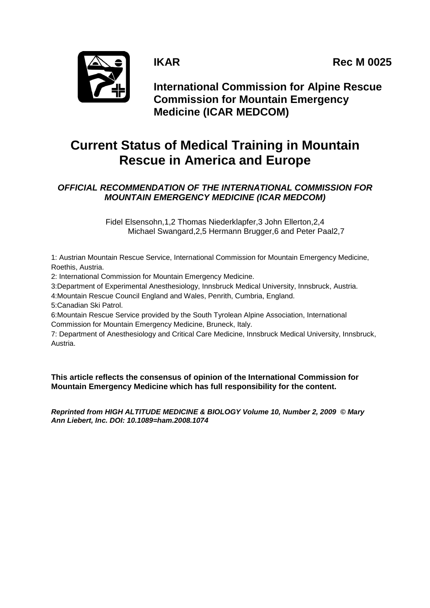**IKAR** Rec M 0025



**International Commission for Alpine Rescue Commission for Mountain Emergency Medicine (ICAR MEDCOM)**

# **Current Status of Medical Training in Mountain Rescue in America and Europe**

# *OFFICIAL RECOMMENDATION OF THE INTERNATIONAL COMMISSION FOR MOUNTAIN EMERGENCY MEDICINE (ICAR MEDCOM)*

Fidel Elsensohn,1,2 Thomas Niederklapfer,3 John Ellerton,2,4 Michael Swangard,2,5 Hermann Brugger,6 and Peter Paal2,7

1: Austrian Mountain Rescue Service, International Commission for Mountain Emergency Medicine, Roethis, Austria.

2: International Commission for Mountain Emergency Medicine.

3:Department of Experimental Anesthesiology, Innsbruck Medical University, Innsbruck, Austria.

4:Mountain Rescue Council England and Wales, Penrith, Cumbria, England.

5:Canadian Ski Patrol.

6:Mountain Rescue Service provided by the South Tyrolean Alpine Association, International Commission for Mountain Emergency Medicine, Bruneck, Italy.

7: Department of Anesthesiology and Critical Care Medicine, Innsbruck Medical University, Innsbruck, Austria.

**This article reflects the consensus of opinion of the International Commission for Mountain Emergency Medicine which has full responsibility for the content.**

*Reprinted from HIGH ALTITUDE MEDICINE & BIOLOGY Volume 10, Number 2, 2009 © Mary Ann Liebert, Inc. DOI: 10.1089=ham.2008.1074*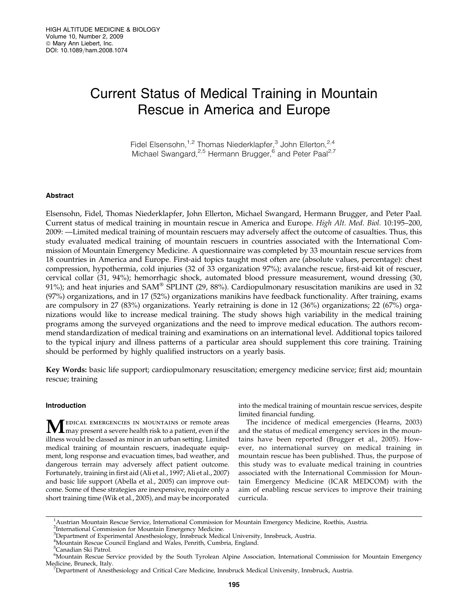# Current Status of Medical Training in Mountain Rescue in America and Europe

Fidel Elsensohn, $1,2$  Thomas Niederklapfer,<sup>3</sup> John Ellerton, $2,4$ Michael Swangard,<sup>2,5</sup> Hermann Brugger,<sup>6</sup> and Peter Paal<sup>2,7</sup>

### Abstract

Elsensohn, Fidel, Thomas Niederklapfer, John Ellerton, Michael Swangard, Hermann Brugger, and Peter Paal. Current status of medical training in mountain rescue in America and Europe. High Alt. Med. Biol. 10:195–200, 2009: —Limited medical training of mountain rescuers may adversely affect the outcome of casualties. Thus, this study evaluated medical training of mountain rescuers in countries associated with the International Commission of Mountain Emergency Medicine. A questionnaire was completed by 33 mountain rescue services from 18 countries in America and Europe. First-aid topics taught most often are (absolute values, percentage): chest compression, hypothermia, cold injuries (32 of 33 organization 97%); avalanche rescue, first-aid kit of rescuer, cervical collar (31, 94%); hemorrhagic shock, automated blood pressure measurement, wound dressing (30, 91%); and heat injuries and  $SAM^{\circledast}$  SPLINT (29, 88%). Cardiopulmonary resuscitation manikins are used in 32 (97%) organizations, and in 17 (52%) organizations manikins have feedback functionality. After training, exams are compulsory in 27 (83%) organizations. Yearly retraining is done in 12 (36%) organizations; 22 (67%) organizations would like to increase medical training. The study shows high variability in the medical training programs among the surveyed organizations and the need to improve medical education. The authors recommend standardization of medical training and examinations on an international level. Additional topics tailored to the typical injury and illness patterns of a particular area should supplement this core training. Training should be performed by highly qualified instructors on a yearly basis.

Key Words: basic life support; cardiopulmonary resuscitation; emergency medicine service; first aid; mountain rescue; training

# Introduction

MEDICAL EMERGENCIES IN MOUNTAINS Or remote areas<br>may present a severe health risk to a patient, even if the illness would be classed as minor in an urban setting. Limited medical training of mountain rescuers, inadequate equipment, long response and evacuation times, bad weather, and dangerous terrain may adversely affect patient outcome. Fortunately, training in first aid (Ali et al., 1997; Ali et al., 2007) and basic life support (Abella et al., 2005) can improve outcome. Some of these strategies are inexpensive, require only a short training time (Wik et al., 2005), and may be incorporated into the medical training of mountain rescue services, despite limited financial funding.

The incidence of medical emergencies (Hearns, 2003) and the status of medical emergency services in the mountains have been reported (Brugger et al., 2005). However, no international survey on medical training in mountain rescue has been published. Thus, the purpose of this study was to evaluate medical training in countries associated with the International Commission for Mountain Emergency Medicine (ICAR MEDCOM) with the aim of enabling rescue services to improve their training curricula.

<sup>&</sup>lt;sup>1</sup> Austrian Mountain Rescue Service, International Commission for Mountain Emergency Medicine, Roethis, Austria.

<sup>&</sup>lt;sup>2</sup>International Commission for Mountain Emergency Medicine.

<sup>&</sup>lt;sup>3</sup>Department of Experimental Anesthesiology, Innsbruck Medical University, Innsbruck, Austria.

<sup>4</sup> Mountain Rescue Council England and Wales, Penrith, Cumbria, England.

<sup>&</sup>lt;sup>5</sup>Canadian Ski Patrol.

<sup>6</sup> Mountain Rescue Service provided by the South Tyrolean Alpine Association, International Commission for Mountain Emergency Medicine, Bruneck, Italy.

<sup>&</sup>lt;sup>7</sup>Department of Anesthesiology and Critical Care Medicine, Innsbruck Medical University, Innsbruck, Austria.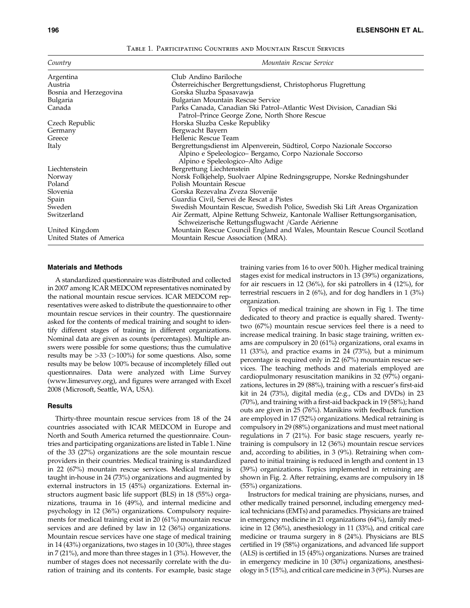| Country                  | Mountain Rescue Service                                                                                                                                               |
|--------------------------|-----------------------------------------------------------------------------------------------------------------------------------------------------------------------|
| Argentina                | Club Andino Bariloche                                                                                                                                                 |
| Austria                  | Osterreichischer Bergrettungsdienst, Christophorus Flugrettung                                                                                                        |
| Bosnia and Herzegovina   | Gorska Sluzba Spasavawja                                                                                                                                              |
| Bulgaria                 | Bulgarian Mountain Rescue Service                                                                                                                                     |
| Canada                   | Parks Canada, Canadian Ski Patrol–Atlantic West Division, Canadian Ski<br>Patrol–Prince George Zone, North Shore Rescue                                               |
| Czech Republic           | Horska Sluzba Ceske Republiky                                                                                                                                         |
| Germany                  | Bergwacht Bayern                                                                                                                                                      |
| Greece                   | Hellenic Rescue Team                                                                                                                                                  |
| Italy                    | Bergrettungsdienst im Alpenverein, Südtirol, Corpo Nazionale Soccorso<br>Alpino e Speleologico- Bergamo, Corpo Nazionale Soccorso<br>Alpino e Speleologico–Alto Adige |
| Liechtenstein            | Bergrettung Liechtenstein                                                                                                                                             |
| Norway                   | Norsk Folkjehelp, Suolvaer Alpine Redningsgruppe, Norske Redningshunder                                                                                               |
| Poland                   | Polish Mountain Rescue                                                                                                                                                |
| Slovenia                 | Gorska Rezevalna Zveza Slovenije                                                                                                                                      |
| Spain                    | Guardia Civil, Servei de Rescat a Pistes                                                                                                                              |
| Sweden                   | Swedish Mountain Rescue, Swedish Police, Swedish Ski Lift Areas Organization                                                                                          |
| Switzerland              | Air Zermatt, Alpine Rettung Schweiz, Kantonale Walliser Rettungsorganisation,<br>Schweizerische Rettungsflugwacht / Garde Aérienne                                    |
| United Kingdom           | Mountain Rescue Council England and Wales, Mountain Rescue Council Scotland                                                                                           |
| United States of America | Mountain Rescue Association (MRA).                                                                                                                                    |

#### Table 1. Participating Countries and Mountain Rescue Services

#### Materials and Methods

A standardized questionnaire was distributed and collected in 2007 among ICAR MEDCOM representatives nominated by the national mountain rescue services. ICAR MEDCOM representatives were asked to distribute the questionnaire to other mountain rescue services in their country. The questionnaire asked for the contents of medical training and sought to identify different stages of training in different organizations. Nominal data are given as counts (percentages). Multiple answers were possible for some questions; thus the cumulative results may be  $>33$  ( $>100\%$ ) for some questions. Also, some results may be below 100% because of incompletely filled out questionnaires. Data were analyzed with Lime Survey (www.limesurvey.org), and figures were arranged with Excel 2008 (Microsoft, Seattle, WA, USA).

### **Results**

Thirty-three mountain rescue services from 18 of the 24 countries associated with ICAR MEDCOM in Europe and North and South America returned the questionnaire. Countries and participating organizations are listed in Table 1. Nine of the 33 (27%) organizations are the sole mountain rescue providers in their countries. Medical training is standardized in 22 (67%) mountain rescue services. Medical training is taught in-house in 24 (73%) organizations and augmented by external instructors in 15 (45%) organizations. External instructors augment basic life support (BLS) in 18 (55%) organizations, trauma in 16 (49%), and internal medicine and psychology in 12 (36%) organizations. Compulsory requirements for medical training exist in 20 (61%) mountain rescue services and are defined by law in 12 (36%) organizations. Mountain rescue services have one stage of medical training in 14 (43%) organizations, two stages in 10 (30%), three stages in 7 (21%), and more than three stages in 1 (3%). However, the number of stages does not necessarily correlate with the duration of training and its contents. For example, basic stage training varies from 16 to over 500 h. Higher medical training stages exist for medical instructors in 13 (39%) organizations, for air rescuers in 12 (36%), for ski patrollers in 4 (12%), for terrestrial rescuers in 2 (6%), and for dog handlers in 1 (3%) organization.

Topics of medical training are shown in Fig 1. The time dedicated to theory and practice is equally shared. Twentytwo (67%) mountain rescue services feel there is a need to increase medical training. In basic stage training, written exams are compulsory in 20 (61%) organizations, oral exams in 11 (33%), and practice exams in 24 (73%), but a minimum percentage is required only in 22 (67%) mountain rescue services. The teaching methods and materials employed are cardiopulmonary resuscitation manikins in 32 (97%) organizations, lectures in 29 (88%), training with a rescuer's first-aid kit in 24 (73%), digital media (e.g., CDs and DVDs) in 23 (70%), and training with a first-aid backpack in 19 (58%); hand outs are given in 25 (76%). Manikins with feedback function are employed in 17 (52%) organizations. Medical retraining is compulsory in 29 (88%) organizations and must meet national regulations in 7 (21%). For basic stage rescuers, yearly retraining is compulsory in 12 (36%) mountain rescue services and, according to abilities, in 3 (9%). Retraining when compared to initial training is reduced in length and content in 13 (39%) organizations. Topics implemented in retraining are shown in Fig. 2. After retraining, exams are compulsory in 18 (55%) organizations.

Instructors for medical training are physicians, nurses, and other medically trained personnel, including emergency medical technicians (EMTs) and paramedics. Physicians are trained in emergency medicine in 21 organizations (64%), family medicine in 12 (36%), anesthesiology in 11 (33%), and critical care medicine or trauma surgery in 8 (24%). Physicians are BLS certified in 19 (58%) organizations, and advanced life support (ALS) is certified in 15 (45%) organizations. Nurses are trained in emergency medicine in 10 (30%) organizations, anesthesiology in 5 (15%), and critical care medicine in 3 (9%). Nurses are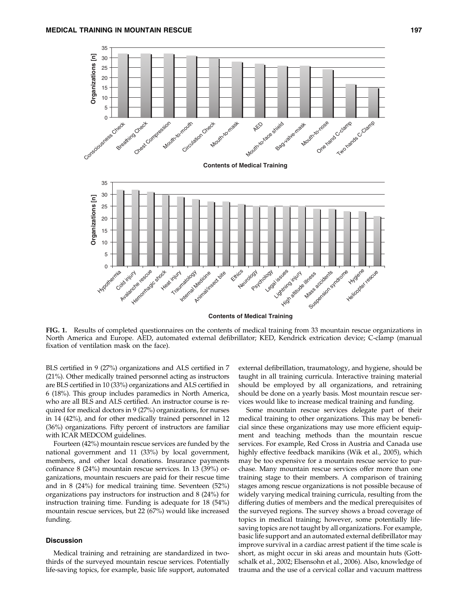

FIG. 1. Results of completed questionnaires on the contents of medical training from 33 mountain rescue organizations in North America and Europe. AED, automated external defibrillator; KED, Kendrick extrication device; C-clamp (manual fixation of ventilation mask on the face).

BLS certified in 9 (27%) organizations and ALS certified in 7 (21%). Other medically trained personnel acting as instructors are BLS certified in 10 (33%) organizations and ALS certified in 6 (18%). This group includes paramedics in North America, who are all BLS and ALS certified. An instructor course is required for medical doctors in 9 (27%) organizations, for nurses in 14 (42%), and for other medically trained personnel in 12 (36%) organizations. Fifty percent of instructors are familiar with ICAR MEDCOM guidelines.

Fourteen (42%) mountain rescue services are funded by the national government and 11 (33%) by local government, members, and other local donations. Insurance payments cofinance 8 (24%) mountain rescue services. In 13 (39%) organizations, mountain rescuers are paid for their rescue time and in 8 (24%) for medical training time. Seventeen (52%) organizations pay instructors for instruction and 8 (24%) for instruction training time. Funding is adequate for 18 (54%) mountain rescue services, but 22 (67%) would like increased funding.

# Discussion

Medical training and retraining are standardized in twothirds of the surveyed mountain rescue services. Potentially life-saving topics, for example, basic life support, automated external defibrillation, traumatology, and hygiene, should be taught in all training curricula. Interactive training material should be employed by all organizations, and retraining should be done on a yearly basis. Most mountain rescue services would like to increase medical training and funding.

Some mountain rescue services delegate part of their medical training to other organizations. This may be beneficial since these organizations may use more efficient equipment and teaching methods than the mountain rescue services. For example, Red Cross in Austria and Canada use highly effective feedback manikins (Wik et al., 2005), which may be too expensive for a mountain rescue service to purchase. Many mountain rescue services offer more than one training stage to their members. A comparison of training stages among rescue organizations is not possible because of widely varying medical training curricula, resulting from the differing duties of members and the medical prerequisites of the surveyed regions. The survey shows a broad coverage of topics in medical training; however, some potentially lifesaving topics are not taught by all organizations. For example, basic life support and an automated external defibrillator may improve survival in a cardiac arrest patient if the time scale is short, as might occur in ski areas and mountain huts (Gottschalk et al., 2002; Elsensohn et al., 2006). Also, knowledge of trauma and the use of a cervical collar and vacuum mattress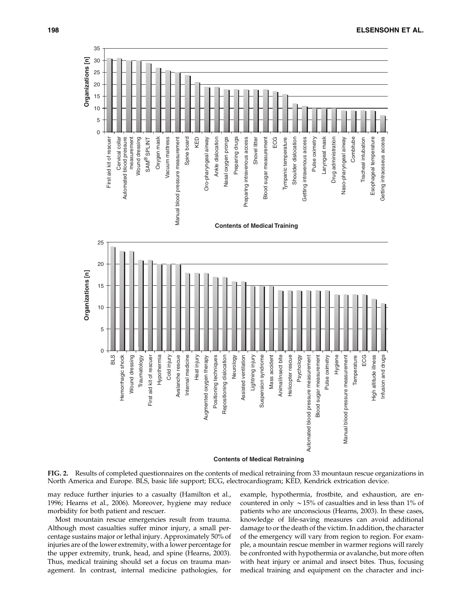

FIG. 2. Results of completed questionnaires on the contents of medical retraining from 33 mountaun rescue organizations in North America and Europe. BLS, basic life support; ECG, electrocardiogram; KED, Kendrick extrication device.

may reduce further injuries to a casualty (Hamilton et al., 1996; Hearns et al., 2006). Moreover, hygiene may reduce morbidity for both patient and rescuer.

Most mountain rescue emergencies result from trauma. Although most casualties suffer minor injury, a small percentage sustains major or lethal injury. Approximately 50% of injuries are of the lower extremity, with a lower percentage for the upper extremity, trunk, head, and spine (Hearns, 2003). Thus, medical training should set a focus on trauma management. In contrast, internal medicine pathologies, for example, hypothermia, frostbite, and exhaustion, are encountered in only *\**15% of casualties and in less than 1% of patients who are unconscious (Hearns, 2003). In these cases, knowledge of life-saving measures can avoid additional damage to or the death of the victim. In addition, the character of the emergency will vary from region to region. For example, a mountain rescue member in warmer regions will rarely be confronted with hypothermia or avalanche, but more often with heat injury or animal and insect bites. Thus, focusing medical training and equipment on the character and inci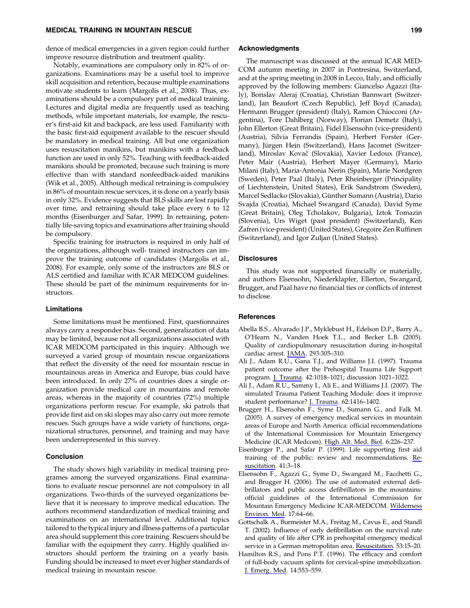dence of medical emergencies in a given region could further improve resource distribution and treatment quality.

Notably, examinations are compulsory only in 82% of organizations. Examinations may be a useful tool to improve skill acquisition and retention, because multiple examinations motivate students to learn (Margolis et al., 2008). Thus, examinations should be a compulsory part of medical training. Lectures and digital media are frequently used as teaching methods, while important materials, for example, the rescuer's first-aid kit and backpack, are less used. Familiarity with the basic first-aid equipment available to the rescuer should be mandatory in medical training. All but one organization uses resuscitation manikins, but manikins with a feedback function are used in only 52%. Teaching with feedback-aided manikins should be promoted, because such training is more effective than with standard nonfeedback-aided manikins (Wik et al., 2005). Although medical retraining is compulsory in 86% of mountain rescue services, it is done on a yearly basis in only 32%. Evidence suggests that BLS skills are lost rapidly over time, and retraining should take place every 6 to 12 months (Eisenburger and Safar, 1999). In retraining, potentially life-saving topics and examinations after training should be compulsory.

Specific training for instructors is required in only half of the organizations, although well- trained instructors can improve the training outcome of candidates (Margolis et al., 2008). For example, only some of the instructors are BLS or ALS certified and familiar with ICAR MEDCOM guidelines. These should be part of the minimum requirements for instructors.

# Limitations

Some limitations must be mentioned. First, questionnaires always carry a responder bias. Second, generalization of data may be limited, because not all organizations associated with ICAR MEDCOM participated in this inquiry. Although we surveyed a varied group of mountain rescue organizations that reflect the diversity of the need for mountain rescue in mountainous areas in America and Europe, bias could have been introduced. In only 27% of countries does a single organization provide medical care in mountains and remote areas, whereas in the majority of countries (72%) multiple organizations perform rescue. For example, ski patrols that provide first aid on ski slopes may also carry out more remote rescues. Such groups have a wide variety of functions, organizational structures, personnel, and training and may have been underrepresented in this survey.

# Conclusion

The study shows high variability in medical training programes among the surveyed organizations. Final examinations to evaluate rescue personnel are not compulsory in all organizations. Two-thirds of the surveyed organizations believe that it is necessary to improve medical education. The authors recommend standardization of medical training and examinations on an international level. Additional topics tailored to the typical injury and illness patterns of a particular area should supplement this core training. Rescuers should be familiar with the equipment they carry. Highly qualified instructors should perform the training on a yearly basis. Funding should be increased to meet ever higher standards of medical training in mountain rescue.

#### Acknowledgments

The manuscript was discussed at the annual ICAR MED-COM autumn meeting in 2007 in Pontresina, Switzerland, and at the spring meeting in 2008 in Lecco, Italy, and officially approved by the following members: Giancelso Agazzi (Italy), Borislav Aleraj (Croatia), Christian Bannwart (Switzerland), Jan Beaufort (Czech Republic), Jeff Boyd (Canada), Hermann Brugger (president) (Italy), Ramon Chiocconi (Argentina), Tore Dahlberg (Norway), Florian Demetz (Italy), John Ellerton (Great Britain), Fidel Elsensohn (vice-president) (Austria), Silvia Ferrandis (Spain), Herbert Forster (Germany), Jürgen Hein (Switzerland), Hans Jacomet (Switzerland), Miroslav Kovač (Slovakia), Xavier Ledoux (France), Peter Mair (Austria), Herbert Mayer (Germany), Mario Milani (Italy), Maria-Antonia Nerin (Spain), Marie Nordgren (Sweden), Peter Paal (Italy), Peter Rheinberger (Principality of Liechtenstein, United States), Erik Sandstrom (Sweden), Marcel Sedlacko (Slovakia), Günther Sumann (Austria), Dario Svajda (Croatia), Michael Swangard (Canada), David Syme (Great Britain), Oleg Tcholakov, Bulgaria), Iztok Tomazin (Slovenia), Urs Wiget (past president) (Switzerland), Ken Zafren (vice-president) (United States), Gregoire Zen Ruffinen (Switzerland), and Igor Zuljan (United States).

### **Disclosures**

This study was not supported financially or materially, and authors Elsensohn, Niederklapfer, Ellerton, Swangard, Brugger, and Paal have no financial ties or conflicts of interest to disclose.

### **References**

- Abella B.S., Alvarado J.P., Myklebust H., Edelson D.P., Barry A., O'Hearn N., Vanden Hoek T.L., and Becker L.B. (2005). Quality of cardiopulmonary resuscitation during in-hospital cardiac arrest. JAMA. 293:305–310.
- Ali J., Adam R.U., Gana T.J., and Williams J.I. (1997). Trauma patient outcome after the Prehospital Trauma Life Support program. J. Trauma. 42:1018–1021; discussion 1021–1022.
- Ali J., Adam R.U., Sammy I., Ali E., and Williams J.I. (2007). The simulated Trauma Patient Teaching Module: does it improve student performance? J. Trauma. 62:1416–1402.
- Brugger H., Elsensohn F., Syme D., Sumann G., and Falk M. (2005). A survey of emergency medical services in mountain areas of Europe and North America: official recommendations of the International Commission for Mountain Emergency Medicine (ICAR Medcom). High Alt. Med. Biol. 6:226–237.
- Eisenburger P., and Safar P. (1999). Life supporting first aid training of the public: review and recommendations. Resuscitation. 41:3–18.
- Elsensohn F., Agazzi G., Syme D., Swangard M., Facchetti G., and Brugger H. (2006). The use of automated external defibrillators and public access defibrillators in the mountains: official guidelines of the International Commission for Mountain Emergency Medicine ICAR-MEDCOM. Wilderness Environ. Med. 17:64–66.
- Gottschalk A., Burmeister M.A., Freitag M., Cavus E., and Standl T. (2002). Influence of early defibrillation on the survival rate and quality of life after CPR in prehospital emergency medical service in a German metropolitan area. Resuscitation. 53:15–20.
- Hamilton R.S., and Pons P.T. (1996). The efficacy and comfort of full-body vacuum splints for cervical-spine immobilization. J. Emerg. Med. 14:553–559.